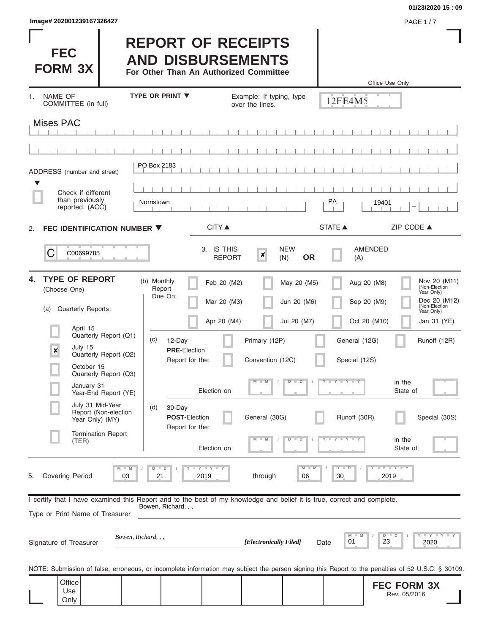| Image# 202001239167326427 | <b>PAGE 1/7</b> |
|---------------------------|-----------------|
|---------------------------|-----------------|

### **01/23/2020 15 : 09**

| <b>FEC</b><br><b>FORM 3X</b>                                                                                                                                                      |                           |                                       | <b>REPORT OF RECEIPTS</b><br><b>AND DISBURSEMENTS</b><br>For Other Than An Authorized Committee |                                |                      |                                                                                                                                                   |
|-----------------------------------------------------------------------------------------------------------------------------------------------------------------------------------|---------------------------|---------------------------------------|-------------------------------------------------------------------------------------------------|--------------------------------|----------------------|---------------------------------------------------------------------------------------------------------------------------------------------------|
| <b>NAME OF</b><br>1.                                                                                                                                                              |                           | <b>TYPE OR PRINT ▼</b>                | Example: If typing, type                                                                        |                                | 12FE4M5              | Office Use Only                                                                                                                                   |
| COMMITTEE (in full)                                                                                                                                                               |                           |                                       | over the lines.                                                                                 |                                |                      |                                                                                                                                                   |
| Mises PAC                                                                                                                                                                         |                           |                                       |                                                                                                 |                                |                      |                                                                                                                                                   |
|                                                                                                                                                                                   |                           |                                       |                                                                                                 |                                |                      |                                                                                                                                                   |
| ADDRESS (number and street)                                                                                                                                                       |                           | PO Box 2183                           |                                                                                                 |                                |                      |                                                                                                                                                   |
| ▼<br>Check if different                                                                                                                                                           |                           |                                       |                                                                                                 |                                |                      |                                                                                                                                                   |
| than previously<br>reported. (ACC)                                                                                                                                                |                           | Norristown                            |                                                                                                 |                                | PA                   | 19401                                                                                                                                             |
| FEC IDENTIFICATION NUMBER ▼<br>2.                                                                                                                                                 |                           |                                       | <b>CITY</b> ▲                                                                                   |                                | <b>STATE ▲</b>       | ZIP CODE $\triangle$                                                                                                                              |
| C<br>C00699785                                                                                                                                                                    |                           |                                       | 3. IS THIS<br>$\boldsymbol{x}$<br><b>REPORT</b>                                                 | <b>NEW</b><br><b>OR</b><br>(N) | (A)                  | <b>AMENDED</b>                                                                                                                                    |
| <b>TYPE OF REPORT</b><br>4.<br>(Choose One)                                                                                                                                       |                           | (b) Monthly<br>Report<br>Due On:      | Feb 20 (M2)                                                                                     | May 20 (M5)                    |                      | Nov 20 (M11)<br>Aug 20 (M8)<br>(Non-Election<br>Year Only)                                                                                        |
| Quarterly Reports:<br>(a)                                                                                                                                                         |                           |                                       | Mar 20 (M3)                                                                                     | Jun 20 (M6)                    |                      | Dec 20 (M12)<br>Sep 20 (M9)<br>(Non-Election<br>Year Only)                                                                                        |
| April 15                                                                                                                                                                          | Quarterly Report (Q1)     |                                       | Apr 20 (M4)                                                                                     | Jul 20 (M7)                    |                      | Oct 20 (M10)<br>Jan 31 (YE)                                                                                                                       |
| July 15<br>$\pmb{\times}$                                                                                                                                                         | Quarterly Report (Q2)     | (c)<br>12-Day<br><b>PRE</b> Election  | Primary (12P)                                                                                   |                                | General (12G)        | Runoff (12R)                                                                                                                                      |
| October 15                                                                                                                                                                        | Quarterly Report (Q3)     | Report for the:                       | Convention (12C)                                                                                |                                | Special (12S)        |                                                                                                                                                   |
| January 31                                                                                                                                                                        | Year-End Report (YE)      |                                       | $M - M$<br>Election on                                                                          | $D$ $D$                        | Y FYLY               | in the<br>State of                                                                                                                                |
| July 31 Mid-Year<br>Year Only) (MY)                                                                                                                                               | Report (Non-election      | (d)<br>30-Day<br><b>POST-Election</b> | General (30G)                                                                                   |                                | Runoff (30R)         | Special (30S)                                                                                                                                     |
| (TER)                                                                                                                                                                             | <b>Termination Report</b> | Report for the:                       | $-W$<br>Election on                                                                             | $D$ $D$                        | $Y + Y + Y + Y$      | in the<br>State of                                                                                                                                |
| <b>Covering Period</b><br>5.                                                                                                                                                      | 03                        | $D$ $D$<br>21<br>2019                 | Y I Y I Y<br>through                                                                            | $M - M$<br>06                  | $D$ $D$<br>30        | Y FY FY FY<br>2019                                                                                                                                |
| I certify that I have examined this Report and to the best of my knowledge and belief it is true, correct and complete.<br>Bowen, Richard, , ,<br>Type or Print Name of Treasurer |                           |                                       |                                                                                                 |                                |                      |                                                                                                                                                   |
|                                                                                                                                                                                   |                           |                                       |                                                                                                 |                                |                      |                                                                                                                                                   |
| Signature of Treasurer                                                                                                                                                            | Bowen, Richard, , ,       |                                       |                                                                                                 | [Electronically Filed]         | M<br>M<br>01<br>Date | Y LY LY LY<br>D<br>D<br>23<br>2020                                                                                                                |
|                                                                                                                                                                                   |                           |                                       |                                                                                                 |                                |                      | NOTE: Submission of false, erroneous, or incomplete information may subject the person signing this Report to the penalties of 52 U.S.C. § 30109. |
| Office<br>Use                                                                                                                                                                     |                           |                                       |                                                                                                 |                                |                      | <b>FEC FORM 3X</b><br>Rev. 05/2016                                                                                                                |
| Only                                                                                                                                                                              |                           |                                       |                                                                                                 |                                |                      |                                                                                                                                                   |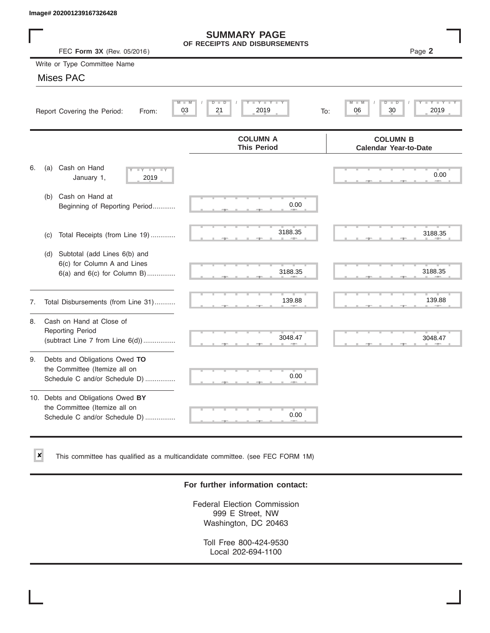$\vert x \vert$ 

|    | Image# 202001239167326428                                                                             |                                                      |                                                 |
|----|-------------------------------------------------------------------------------------------------------|------------------------------------------------------|-------------------------------------------------|
|    | FEC Form 3X (Rev. 05/2016)                                                                            | <b>SUMMARY PAGE</b><br>OF RECEIPTS AND DISBURSEMENTS | Page 2                                          |
|    | Write or Type Committee Name                                                                          |                                                      |                                                 |
|    | Mises PAC                                                                                             |                                                      |                                                 |
|    | M<br>Report Covering the Period:<br>From:                                                             | Y TY<br>D<br>D<br>03<br>21<br>2019                   | M<br>D<br>D<br>30<br>2019<br>06<br>To:          |
|    |                                                                                                       | <b>COLUMN A</b><br><b>This Period</b>                | <b>COLUMN B</b><br><b>Calendar Year-to-Date</b> |
| 6. | Cash on Hand<br>(a)<br>$-Y - Y - IY$<br>January 1,<br>2019                                            |                                                      | 0.00                                            |
|    | Cash on Hand at<br>(b)<br>Beginning of Reporting Period                                               | 0.00                                                 |                                                 |
|    | Total Receipts (from Line 19)<br>(c)                                                                  | 3188.35                                              | 3188.35                                         |
|    | Subtotal (add Lines 6(b) and<br>(d)<br>6(c) for Column A and Lines<br>$6(a)$ and $6(c)$ for Column B) | 3188.35                                              | 3188.35                                         |
| 7. | Total Disbursements (from Line 31)                                                                    | 139.88                                               | 139.88                                          |
| 8. | Cash on Hand at Close of<br><b>Reporting Period</b><br>(subtract Line $7$ from Line $6(d)$ )          | 3048.47                                              | 3048.47                                         |
| 9. | Debts and Obligations Owed TO<br>the Committee (Itemize all on<br>Schedule C and/or Schedule D)       | 0.00                                                 |                                                 |
|    | 10. Debts and Obligations Owed BY<br>the Committee (Itemize all on<br>Schedule C and/or Schedule D)   | T<br>0.00                                            |                                                 |

This committee has qualified as a multicandidate committee. (see FEC FORM 1M)

### **For further information contact:**

Federal Election Commission 999 E Street, NW Washington, DC 20463

Toll Free 800-424-9530 Local 202-694-1100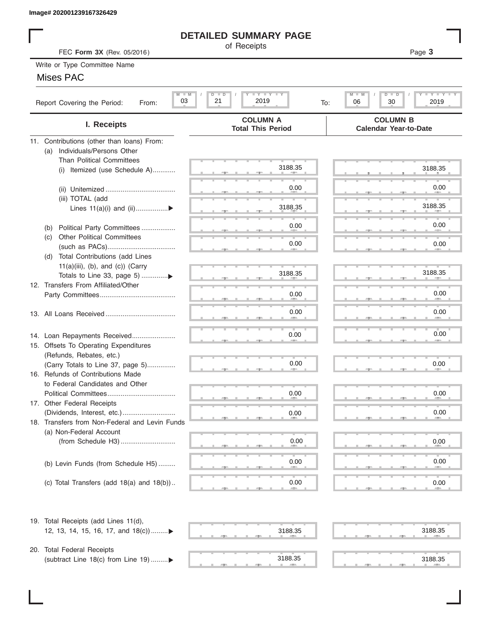# **DETAILED SUMMARY PAGE**

## Mises PAC

|                                                                        | <b>DETAILED SUMMARY PAGE</b>                |                                                 |
|------------------------------------------------------------------------|---------------------------------------------|-------------------------------------------------|
| FEC Form 3X (Rev. 05/2016)                                             | of Receipts                                 | Page 3                                          |
| Write or Type Committee Name                                           |                                             |                                                 |
| <b>Mises PAC</b>                                                       |                                             |                                                 |
| $M \perp M$                                                            | $I - Y - I - Y - I - Y$                     | $T - Y = T - Y$<br>M<br>$D$ $D$                 |
| 03<br>Report Covering the Period:<br>From:                             | $D$ $D$<br>21<br>2019<br>To:                | 06<br>30<br>2019                                |
| I. Receipts                                                            | <b>COLUMN A</b><br><b>Total This Period</b> | <b>COLUMN B</b><br><b>Calendar Year-to-Date</b> |
| 11. Contributions (other than loans) From:                             |                                             |                                                 |
| Individuals/Persons Other<br>(a)                                       |                                             |                                                 |
| <b>Than Political Committees</b><br>Itemized (use Schedule A)<br>(i)   | 3188.35                                     | 3188.35                                         |
|                                                                        |                                             |                                                 |
|                                                                        | 0.00                                        | 0.00                                            |
| (iii) TOTAL (add                                                       |                                             |                                                 |
| Lines $11(a)(i)$ and $(ii)$                                            | 3188.35                                     | 3188.35                                         |
|                                                                        |                                             | 0.00                                            |
| Political Party Committees<br>(b)<br><b>Other Political Committees</b> | 0.00                                        |                                                 |
| (C)                                                                    | 0.00                                        | 0.00                                            |
| Total Contributions (add Lines<br>(d)                                  |                                             |                                                 |
| $11(a)(iii)$ , (b), and (c)) (Carry                                    |                                             |                                                 |
|                                                                        | 3188.35                                     | 3188.35                                         |
| 12. Transfers From Affiliated/Other                                    |                                             |                                                 |
|                                                                        | 0.00                                        | 0.00                                            |
|                                                                        | 0.00                                        | 0.00                                            |
|                                                                        |                                             |                                                 |
| 14. Loan Repayments Received                                           | 0.00                                        | 0.00                                            |
| 15. Offsets To Operating Expenditures                                  |                                             |                                                 |
| (Refunds, Rebates, etc.)                                               |                                             |                                                 |
| (Carry Totals to Line 37, page 5)                                      | 0.00                                        | 0.00                                            |
| 16. Refunds of Contributions Made                                      |                                             |                                                 |
| to Federal Candidates and Other<br>Political Committees                |                                             |                                                 |
| 17. Other Federal Receipts                                             | 0.00                                        | 0.00                                            |
| (Dividends, Interest, etc.)                                            | 0.00                                        | 0.00                                            |
| 18. Transfers from Non-Federal and Levin Funds                         |                                             |                                                 |
| (a) Non-Federal Account                                                |                                             |                                                 |
|                                                                        | $0.00\,$                                    | 0.00                                            |
|                                                                        |                                             |                                                 |
| (b) Levin Funds (from Schedule H5)                                     | 0.00                                        | 0.00                                            |
| (c) Total Transfers (add $18(a)$ and $18(b)$ )                         | 0.00                                        | 0.00                                            |
|                                                                        |                                             |                                                 |
| 19. Total Receipts (add Lines 11(d),                                   |                                             |                                                 |
| 12, 13, 14, 15, 16, 17, and 18(c))                                     | 3188.35                                     | 3188.35                                         |
|                                                                        |                                             |                                                 |
| 20. Total Federal Receipts                                             |                                             |                                                 |
| (subtract Line 18(c) from Line 19) ▶                                   | 3188.35<br>$-$                              | 3188.35                                         |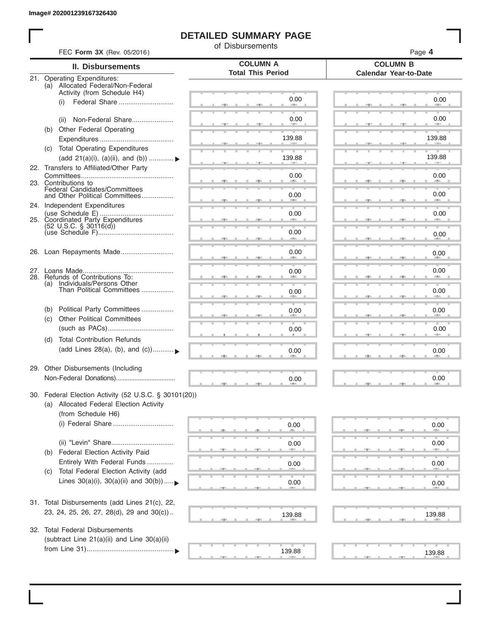I

# **DETAILED SUMMARY PAGE**

of Disbursements

| FEC Form 3X (Rev. 05/2016)                                                                                             |                                             | Page 4                                          |
|------------------------------------------------------------------------------------------------------------------------|---------------------------------------------|-------------------------------------------------|
| II. Disbursements                                                                                                      | <b>COLUMN A</b><br><b>Total This Period</b> | <b>COLUMN B</b><br><b>Calendar Year-to-Date</b> |
| 21. Operating Expenditures:<br>(a) Allocated Federal/Non-Federal<br>Activity (from Schedule H4)                        |                                             |                                                 |
| (i)                                                                                                                    | 0.00                                        | 0.00                                            |
| Non-Federal Share<br>(ii)<br>(b) Other Federal Operating                                                               | 0.00                                        | 0.00                                            |
|                                                                                                                        | 139.88                                      | 139.88                                          |
| (c) Total Operating Expenditures<br>(add 21(a)(i), (a)(ii), and (b))  ▶                                                | 139.88                                      | 139.88                                          |
| 22. Transfers to Affiliated/Other Party                                                                                | 0.00                                        | 0.00                                            |
| 23. Contributions to<br>Federal Candidates/Committees<br>and Other Political Committees                                | 0.00                                        | 0.00                                            |
| 24. Independent Expenditures                                                                                           | 0.00                                        | 0.00                                            |
| 25. Coordinated Party Expenditures<br>$(52 \text{ U.S.C. }$ § 30116(d))                                                | 0.00<br>an a                                | 0.00                                            |
| 26. Loan Repayments Made                                                                                               | 0.00                                        | 0.00                                            |
| 28. Refunds of Contributions To:                                                                                       | 0.00                                        | 0.00                                            |
| (a) Individuals/Persons Other<br>Than Political Committees                                                             | 0.00                                        | 0.00                                            |
| Political Party Committees<br>(b)                                                                                      | 0.00                                        | 0.00                                            |
| <b>Other Political Committees</b><br>(c)                                                                               | 0.00                                        | 0.00                                            |
| <b>Total Contribution Refunds</b><br>(d)<br>(add Lines 28(a), (b), and (c))                                            | 0.00                                        | 0.00                                            |
| 29. Other Disbursements (Including                                                                                     | 0.00                                        | 0.00                                            |
| 30. Federal Election Activity (52 U.S.C. § 30101(20))<br>(a) Allocated Federal Election Activity<br>(from Schedule H6) |                                             |                                                 |
|                                                                                                                        | 0.00                                        | 0.00                                            |
| (ii) "Levin" Share<br>Federal Election Activity Paid<br>(b)                                                            | 0.00                                        | 0.00                                            |
| Entirely With Federal Funds<br>Total Federal Election Activity (add<br>(C)                                             | 0.00                                        | 0.00                                            |
| Lines $30(a)(i)$ , $30(a)(ii)$ and $30(b))$                                                                            | 0.00                                        | 0.00                                            |
| 31. Total Disbursements (add Lines 21(c), 22,<br>23, 24, 25, 26, 27, 28(d), 29 and 30(c))                              | 139.88                                      | 139.88                                          |
| 32. Total Federal Disbursements<br>(subtract Line 21(a)(ii) and Line 30(a)(ii)                                         |                                             |                                                 |
|                                                                                                                        | 139.88                                      | 139.88                                          |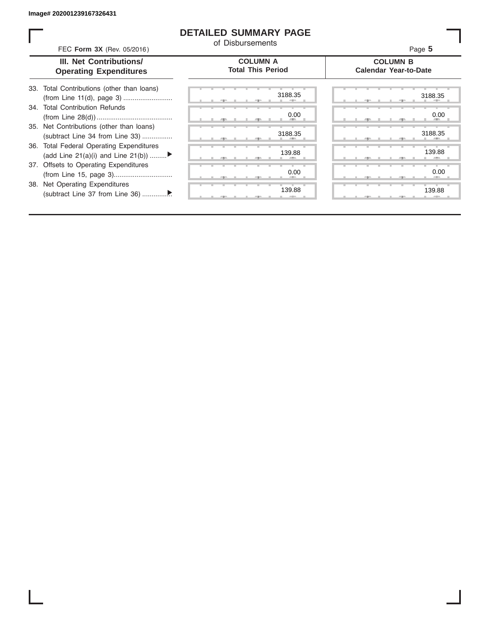ı

## **DETAILED SUMMARY PAGE**

of Disbursements

| FEC Form 3X (Rev. 05/2016)                                                     | <u>UL DISDUISCIIICIIIS</u>                  | Page 5                                          |
|--------------------------------------------------------------------------------|---------------------------------------------|-------------------------------------------------|
| III. Net Contributions/<br><b>Operating Expenditures</b>                       | <b>COLUMN A</b><br><b>Total This Period</b> | <b>COLUMN B</b><br><b>Calendar Year-to-Date</b> |
| 33. Total Contributions (other than loans)                                     | 3188.35                                     | 3188.35                                         |
| 34. Total Contribution Refunds                                                 | 0.00                                        | 0.00                                            |
| 35. Net Contributions (other than loans)<br>(subtract Line 34 from Line 33)    | 3188.35                                     | 3188.35                                         |
| 36. Total Federal Operating Expenditures<br>(add Line 21(a)(i) and Line 21(b)) | 139.88                                      | 139.88                                          |
| 37. Offsets to Operating Expenditures                                          | 0.00                                        | 0.00                                            |
| 38. Net Operating Expenditures                                                 | 139.88                                      | 139.88                                          |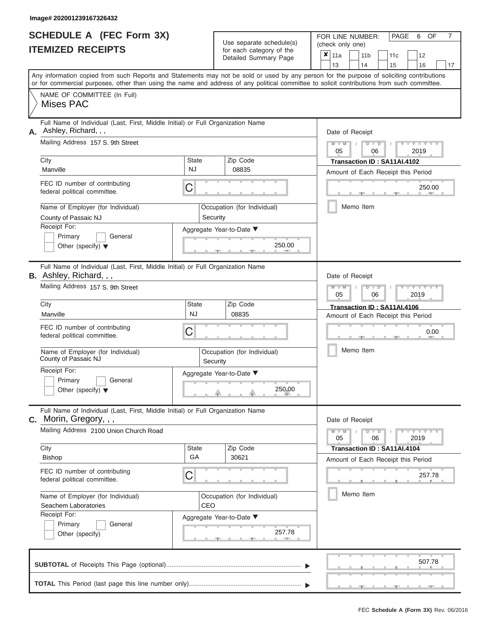#### **Image# 202001239167326432**

|                          | <b>SCHEDULE A (FEC Form 3X)</b> |
|--------------------------|---------------------------------|
| <b>ITEMIZED RECEIPTS</b> |                                 |

Use separate schedule(s) (check only one)<br>for each category of the  $\overline{\mathbf{x}}$  11a  $\overline{\phantom{a}}$  11

FOR LINE NUMBER:

PAGE 6 OF 7

| IIEMIZED RECEIPIS                                                                                                | for each category of the<br>Detailed Summary Page                                                                                                                                                                                                                                       | $\pmb{\times}$<br>11a<br>12<br>11 <sub>b</sub><br>11c<br>13<br>14<br>15<br>16<br>17                  |
|------------------------------------------------------------------------------------------------------------------|-----------------------------------------------------------------------------------------------------------------------------------------------------------------------------------------------------------------------------------------------------------------------------------------|------------------------------------------------------------------------------------------------------|
|                                                                                                                  | Any information copied from such Reports and Statements may not be sold or used by any person for the purpose of soliciting contributions<br>or for commercial purposes, other than using the name and address of any political committee to solicit contributions from such committee. |                                                                                                      |
| NAME OF COMMITTEE (In Full)<br>Mises PAC                                                                         |                                                                                                                                                                                                                                                                                         |                                                                                                      |
| Full Name of Individual (Last, First, Middle Initial) or Full Organization Name<br>A. Ashley, Richard, , ,       |                                                                                                                                                                                                                                                                                         | Date of Receipt                                                                                      |
| Mailing Address 157 S. 9th Street<br>City                                                                        | State<br>Zip Code                                                                                                                                                                                                                                                                       | $Y = Y$<br>$\overline{\mathsf{M}}$<br>$\Box$<br>D<br>2019<br>05<br>06<br>Transaction ID: SA11AI.4102 |
| Manville                                                                                                         | <b>NJ</b><br>08835                                                                                                                                                                                                                                                                      | Amount of Each Receipt this Period                                                                   |
| FEC ID number of contributing<br>federal political committee.                                                    | C                                                                                                                                                                                                                                                                                       | 250.00                                                                                               |
| Name of Employer (for Individual)<br>County of Passaic NJ                                                        | Occupation (for Individual)<br>Security                                                                                                                                                                                                                                                 | Memo Item                                                                                            |
| Receipt For:<br>Primary<br>General<br>Other (specify) $\blacktriangledown$                                       | Aggregate Year-to-Date ▼<br>250.00                                                                                                                                                                                                                                                      |                                                                                                      |
| Full Name of Individual (Last, First, Middle Initial) or Full Organization Name<br>B. Ashley, Richard, , ,       |                                                                                                                                                                                                                                                                                         | Date of Receipt                                                                                      |
| Mailing Address 157 S. 9th Street                                                                                |                                                                                                                                                                                                                                                                                         | $M - I$<br>$Y - Y$<br>т<br>$\overline{\mathbf{M}}$<br>₽<br>$\overline{D}$<br>2019<br>05<br>06        |
| City<br>Manville                                                                                                 | State<br>Zip Code<br><b>NJ</b><br>08835                                                                                                                                                                                                                                                 | Transaction ID: SA11AI.4106<br>Amount of Each Receipt this Period                                    |
| FEC ID number of contributing<br>federal political committee.                                                    | C                                                                                                                                                                                                                                                                                       | 0.00                                                                                                 |
| Name of Employer (for Individual)<br>County of Passaic NJ                                                        | Occupation (for Individual)<br>Security                                                                                                                                                                                                                                                 | Memo Item                                                                                            |
| Receipt For:<br>Primary<br>General<br>Other (specify) $\blacktriangledown$                                       | Aggregate Year-to-Date ▼<br>250.00                                                                                                                                                                                                                                                      |                                                                                                      |
| Full Name of Individual (Last, First, Middle Initial) or Full Organization Name<br><b>C.</b> Morin, Gregory, , , |                                                                                                                                                                                                                                                                                         | Date of Receipt                                                                                      |
| Mailing Address 2100 Union Church Road                                                                           |                                                                                                                                                                                                                                                                                         | Y TYT<br>$D$ $D$<br>$M - M$<br>05<br>06<br>2019                                                      |
| City<br><b>Bishop</b>                                                                                            | State<br>Zip Code<br>GA<br>30621                                                                                                                                                                                                                                                        | Transaction ID: SA11AI.4104<br>Amount of Each Receipt this Period                                    |
| FEC ID number of contributing<br>federal political committee.                                                    | C                                                                                                                                                                                                                                                                                       | 257.78                                                                                               |
| Name of Employer (for Individual)<br>Seachem Laboratories                                                        | Occupation (for Individual)<br>CEO                                                                                                                                                                                                                                                      | Memo Item                                                                                            |
| Receipt For:<br>Primary<br>General<br>Other (specify)                                                            | Aggregate Year-to-Date ▼<br>257.78                                                                                                                                                                                                                                                      |                                                                                                      |
|                                                                                                                  |                                                                                                                                                                                                                                                                                         | 507.78                                                                                               |
|                                                                                                                  |                                                                                                                                                                                                                                                                                         |                                                                                                      |